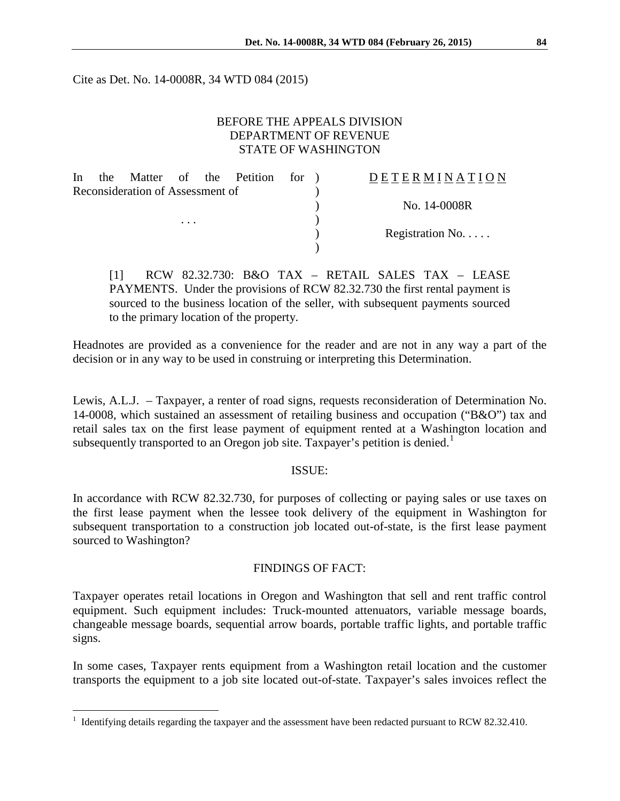Cite as Det. No. 14-0008R, 34 WTD 084 (2015)

### BEFORE THE APPEALS DIVISION DEPARTMENT OF REVENUE STATE OF WASHINGTON

| In                               |  |  |  |  | the Matter of the Petition for ) |  | DETERMINATION    |
|----------------------------------|--|--|--|--|----------------------------------|--|------------------|
| Reconsideration of Assessment of |  |  |  |  |                                  |  |                  |
|                                  |  |  |  |  |                                  |  | No. 14-0008R     |
| $\cdots$                         |  |  |  |  |                                  |  |                  |
|                                  |  |  |  |  |                                  |  | Registration No. |
|                                  |  |  |  |  |                                  |  |                  |

[1] RCW 82.32.730: B&O TAX – RETAIL SALES TAX – LEASE PAYMENTS. Under the provisions of RCW 82.32.730 the first rental payment is sourced to the business location of the seller, with subsequent payments sourced to the primary location of the property.

Headnotes are provided as a convenience for the reader and are not in any way a part of the decision or in any way to be used in construing or interpreting this Determination.

Lewis, A.L.J. – Taxpayer, a renter of road signs, requests reconsideration of Determination No. 14-0008, which sustained an assessment of retailing business and occupation ("B&O") tax and retail sales tax on the first lease payment of equipment rented at a Washington location and subsequently transported to an Oregon job site. Taxpayer's petition is denied.<sup>[1](#page-0-0)</sup>

#### ISSUE:

In accordance with RCW 82.32.730, for purposes of collecting or paying sales or use taxes on the first lease payment when the lessee took delivery of the equipment in Washington for subsequent transportation to a construction job located out-of-state, is the first lease payment sourced to Washington?

#### FINDINGS OF FACT:

Taxpayer operates retail locations in Oregon and Washington that sell and rent traffic control equipment. Such equipment includes: Truck-mounted attenuators, variable message boards, changeable message boards, sequential arrow boards, portable traffic lights, and portable traffic signs.

In some cases, Taxpayer rents equipment from a Washington retail location and the customer transports the equipment to a job site located out-of-state. Taxpayer's sales invoices reflect the

 $\overline{a}$ 

<span id="page-0-0"></span><sup>&</sup>lt;sup>1</sup> Identifying details regarding the taxpayer and the assessment have been redacted pursuant to RCW 82.32.410.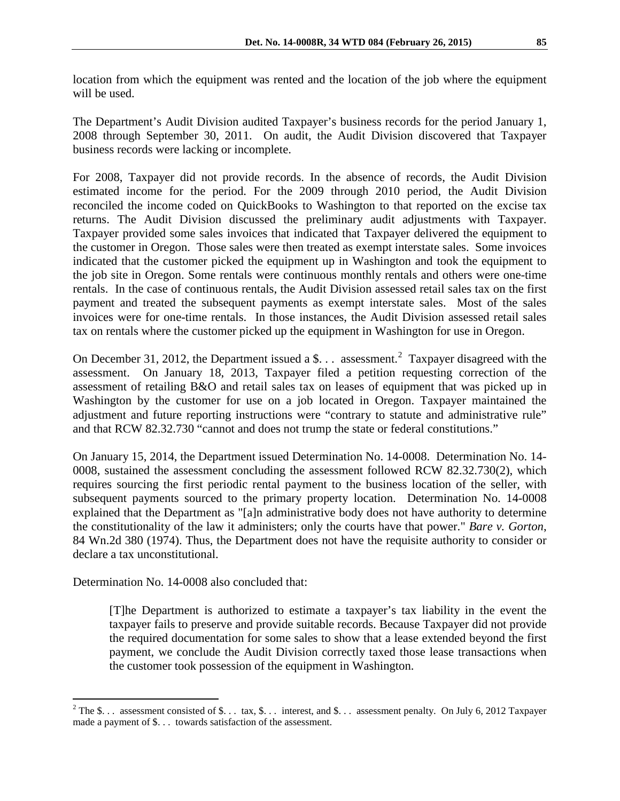location from which the equipment was rented and the location of the job where the equipment will be used.

The Department's Audit Division audited Taxpayer's business records for the period January 1, 2008 through September 30, 2011. On audit, the Audit Division discovered that Taxpayer business records were lacking or incomplete.

For 2008, Taxpayer did not provide records. In the absence of records, the Audit Division estimated income for the period. For the 2009 through 2010 period, the Audit Division reconciled the income coded on QuickBooks to Washington to that reported on the excise tax returns. The Audit Division discussed the preliminary audit adjustments with Taxpayer. Taxpayer provided some sales invoices that indicated that Taxpayer delivered the equipment to the customer in Oregon. Those sales were then treated as exempt interstate sales. Some invoices indicated that the customer picked the equipment up in Washington and took the equipment to the job site in Oregon. Some rentals were continuous monthly rentals and others were one-time rentals. In the case of continuous rentals, the Audit Division assessed retail sales tax on the first payment and treated the subsequent payments as exempt interstate sales. Most of the sales invoices were for one-time rentals. In those instances, the Audit Division assessed retail sales tax on rentals where the customer picked up the equipment in Washington for use in Oregon.

On December 31, [2](#page-1-0)012, the Department issued a \$... assessment.<sup>2</sup> Taxpayer disagreed with the assessment. On January 18, 2013, Taxpayer filed a petition requesting correction of the assessment of retailing B&O and retail sales tax on leases of equipment that was picked up in Washington by the customer for use on a job located in Oregon. Taxpayer maintained the adjustment and future reporting instructions were "contrary to statute and administrative rule" and that RCW 82.32.730 "cannot and does not trump the state or federal constitutions."

On January 15, 2014, the Department issued Determination No. 14-0008. Determination No. 14- 0008, sustained the assessment concluding the assessment followed RCW 82.32.730(2), which requires sourcing the first periodic rental payment to the business location of the seller, with subsequent payments sourced to the primary property location. Determination No. 14-0008 explained that the Department as "[a]n administrative body does not have authority to determine the constitutionality of the law it administers; only the courts have that power." *Bare v. Gorton*, 84 Wn.2d 380 (1974). Thus, the Department does not have the requisite authority to consider or declare a tax unconstitutional.

Determination No. 14-0008 also concluded that:

 $\overline{a}$ 

[T]he Department is authorized to estimate a taxpayer's tax liability in the event the taxpayer fails to preserve and provide suitable records. Because Taxpayer did not provide the required documentation for some sales to show that a lease extended beyond the first payment, we conclude the Audit Division correctly taxed those lease transactions when the customer took possession of the equipment in Washington.

<span id="page-1-0"></span><sup>&</sup>lt;sup>2</sup> The \$... assessment consisted of \$... tax, \$... interest, and \$... assessment penalty. On July 6, 2012 Taxpayer made a payment of \$. . . towards satisfaction of the assessment.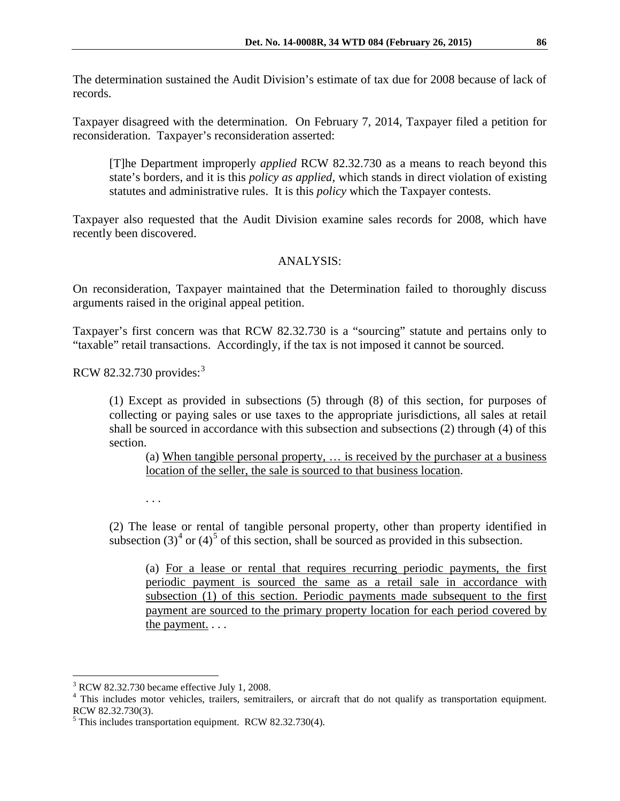The determination sustained the Audit Division's estimate of tax due for 2008 because of lack of records.

Taxpayer disagreed with the determination. On February 7, 2014, Taxpayer filed a petition for reconsideration. Taxpayer's reconsideration asserted:

[T]he Department improperly *applied* RCW 82.32.730 as a means to reach beyond this state's borders, and it is this *policy as applied*, which stands in direct violation of existing statutes and administrative rules. It is this *policy* which the Taxpayer contests.

Taxpayer also requested that the Audit Division examine sales records for 2008, which have recently been discovered.

## ANALYSIS:

On reconsideration, Taxpayer maintained that the Determination failed to thoroughly discuss arguments raised in the original appeal petition.

Taxpayer's first concern was that RCW 82.32.730 is a "sourcing" statute and pertains only to "taxable" retail transactions. Accordingly, if the tax is not imposed it cannot be sourced.

RCW 82.32.730 provides:[3](#page-2-0)

(1) Except as provided in subsections (5) through (8) of this section, for purposes of collecting or paying sales or use taxes to the appropriate jurisdictions, all sales at retail shall be sourced in accordance with this subsection and subsections (2) through (4) of this section.

(a) When tangible personal property, … is received by the purchaser at a business location of the seller, the sale is sourced to that business location.

. . .

(2) The lease or rental of tangible personal property, other than property identified in subsection  $(3)^4$  $(3)^4$  or  $(4)^5$  $(4)^5$  of this section, shall be sourced as provided in this subsection.

(a) For a lease or rental that requires recurring periodic payments, the first periodic payment is sourced the same as a retail sale in accordance with subsection (1) of this section. Periodic payments made subsequent to the first payment are sourced to the primary property location for each period covered by the payment. . . .

 $\overline{a}$ 

<span id="page-2-1"></span><span id="page-2-0"></span> $3$  RCW 82.32.730 became effective July 1, 2008.<br> $4$  This includes motor vehicles, trailers, semitrailers, or aircraft that do not qualify as transportation equipment. RCW 82.32.730(3).

<span id="page-2-2"></span><sup>5</sup> This includes transportation equipment. RCW 82.32.730(4).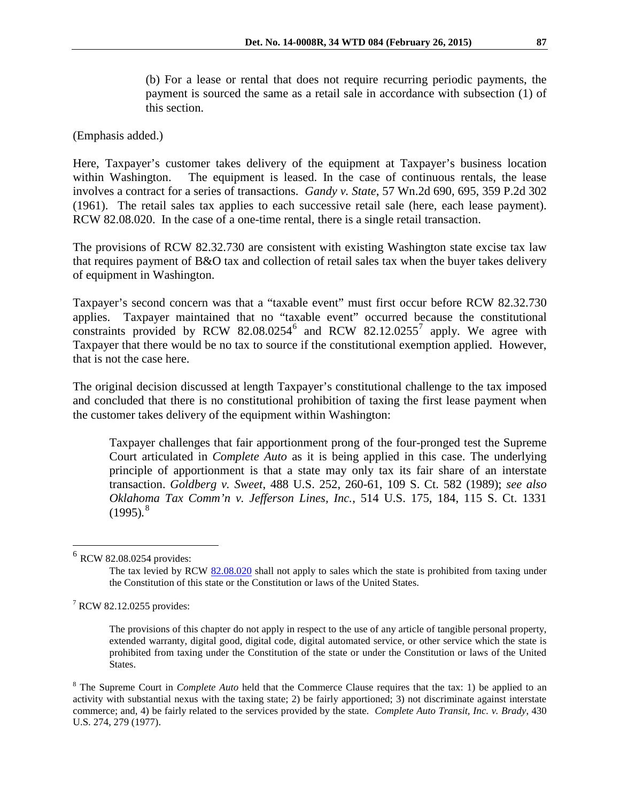(b) For a lease or rental that does not require recurring periodic payments, the payment is sourced the same as a retail sale in accordance with subsection (1) of this section.

(Emphasis added.)

Here, Taxpayer's customer takes delivery of the equipment at Taxpayer's business location within Washington. The equipment is leased. In the case of continuous rentals, the lease involves a contract for a series of transactions. *Gandy v. State*, 57 Wn.2d 690, 695, 359 P.2d 302 (1961). The retail sales tax applies to each successive retail sale (here, each lease payment). RCW 82.08.020. In the case of a one-time rental, there is a single retail transaction.

The provisions of RCW 82.32.730 are consistent with existing Washington state excise tax law that requires payment of B&O tax and collection of retail sales tax when the buyer takes delivery of equipment in Washington.

Taxpayer's second concern was that a "taxable event" must first occur before RCW 82.32.730 applies. Taxpayer maintained that no "taxable event" occurred because the constitutional constraints provided by RCW 82.08.0254<sup>[6](#page-3-0)</sup> and RCW 82.12.0255<sup>[7](#page-3-1)</sup> apply. We agree with Taxpayer that there would be no tax to source if the constitutional exemption applied. However, that is not the case here.

The original decision discussed at length Taxpayer's constitutional challenge to the tax imposed and concluded that there is no constitutional prohibition of taxing the first lease payment when the customer takes delivery of the equipment within Washington:

Taxpayer challenges that fair apportionment prong of the four-pronged test the Supreme Court articulated in *Complete Auto* as it is being applied in this case. The underlying principle of apportionment is that a state may only tax its fair share of an interstate transaction. *Goldberg v. Sweet*, 488 U.S. 252, 260-61, 109 S. Ct. 582 (1989); *see also Oklahoma Tax Comm'n v. Jefferson Lines, Inc.*, 514 U.S. 175, 184, 115 S. Ct. 1331 (1995)*.* [8](#page-3-2)

 $\overline{a}$ 

<span id="page-3-0"></span> $6$  RCW 82.08.0254 provides:

The tax levied by RCW [82.08.020](http://apps.leg.wa.gov/rcw/default.aspx?cite=82.08.020) shall not apply to sales which the state is prohibited from taxing under the Constitution of this state or the Constitution or laws of the United States.

<span id="page-3-1"></span><sup>7</sup> RCW 82.12.0255 provides:

The provisions of this chapter do not apply in respect to the use of any article of tangible personal property, extended warranty, digital good, digital code, digital automated service, or other service which the state is prohibited from taxing under the Constitution of the state or under the Constitution or laws of the United States.

<span id="page-3-2"></span><sup>8</sup> The Supreme Court in *Complete Auto* held that the Commerce Clause requires that the tax: 1) be applied to an activity with substantial nexus with the taxing state; 2) be fairly apportioned; 3) not discriminate against interstate commerce; and, 4) be fairly related to the services provided by the state. *Complete Auto Transit, Inc. v. Brady*, 430 U.S. 274, 279 (1977).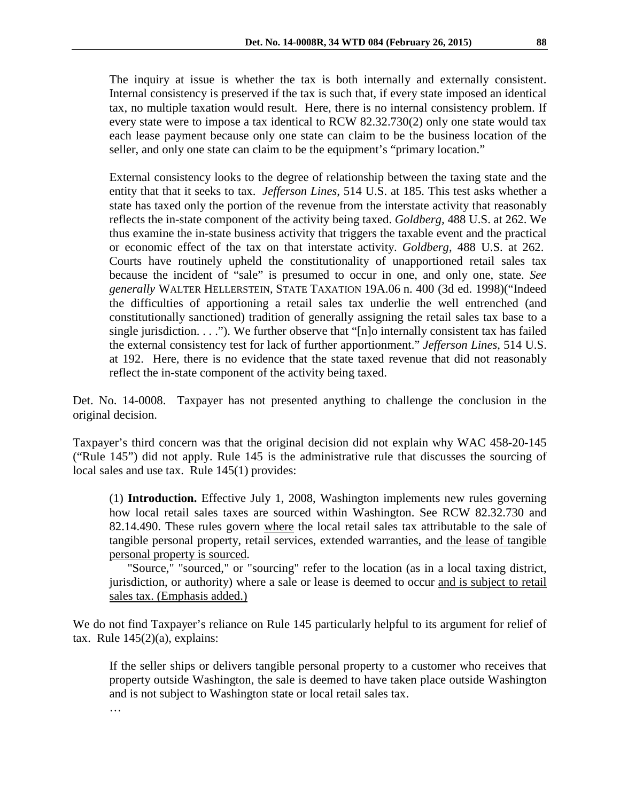The inquiry at issue is whether the tax is both internally and externally consistent. Internal consistency is preserved if the tax is such that, if every state imposed an identical tax, no multiple taxation would result. Here, there is no internal consistency problem. If every state were to impose a tax identical to RCW 82.32.730(2) only one state would tax each lease payment because only one state can claim to be the business location of the seller, and only one state can claim to be the equipment's "primary location."

External consistency looks to the degree of relationship between the taxing state and the entity that that it seeks to tax. *Jefferson Lines*, 514 U.S. at 185. This test asks whether a state has taxed only the portion of the revenue from the interstate activity that reasonably reflects the in-state component of the activity being taxed. *Goldberg,* 488 U.S. at 262. We thus examine the in-state business activity that triggers the taxable event and the practical or economic effect of the tax on that interstate activity. *Goldberg*, 488 U.S. at 262. Courts have routinely upheld the constitutionality of unapportioned retail sales tax because the incident of "sale" is presumed to occur in one, and only one, state. *See generally* WALTER HELLERSTEIN, STATE TAXATION 19A.06 n. 400 (3d ed. 1998)("Indeed the difficulties of apportioning a retail sales tax underlie the well entrenched (and constitutionally sanctioned) tradition of generally assigning the retail sales tax base to a single jurisdiction. . . ."). We further observe that "[n]o internally consistent tax has failed the external consistency test for lack of further apportionment." *Jefferson Lines*, 514 U.S. at 192. Here, there is no evidence that the state taxed revenue that did not reasonably reflect the in-state component of the activity being taxed.

Det. No. 14-0008. Taxpayer has not presented anything to challenge the conclusion in the original decision.

Taxpayer's third concern was that the original decision did not explain why WAC 458-20-145 ("Rule 145") did not apply. Rule 145 is the administrative rule that discusses the sourcing of local sales and use tax. Rule 145(1) provides:

(1) **Introduction.** Effective July 1, 2008, Washington implements new rules governing how local retail sales taxes are sourced within Washington. See RCW 82.32.730 and 82.14.490. These rules govern where the local retail sales tax attributable to the sale of tangible personal property, retail services, extended warranties, and the lease of tangible personal property is sourced.

"Source," "sourced," or "sourcing" refer to the location (as in a local taxing district, jurisdiction, or authority) where a sale or lease is deemed to occur and is subject to retail sales tax. (Emphasis added.)

We do not find Taxpayer's reliance on Rule 145 particularly helpful to its argument for relief of tax. Rule  $145(2)(a)$ , explains:

If the seller ships or delivers tangible personal property to a customer who receives that property outside Washington, the sale is deemed to have taken place outside Washington and is not subject to Washington state or local retail sales tax.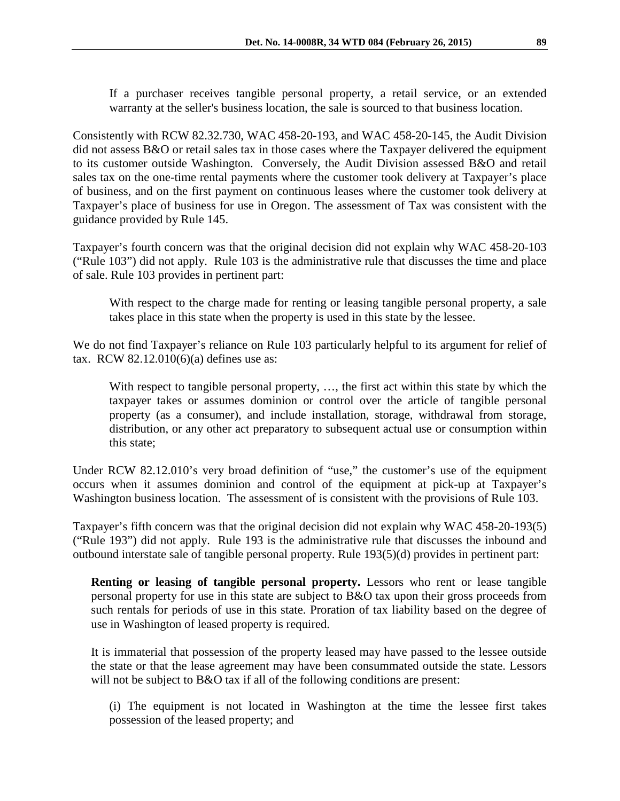If a purchaser receives tangible personal property, a retail service, or an extended warranty at the seller's business location, the sale is sourced to that business location.

Consistently with RCW 82.32.730, WAC 458-20-193, and WAC 458-20-145, the Audit Division did not assess B&O or retail sales tax in those cases where the Taxpayer delivered the equipment to its customer outside Washington. Conversely, the Audit Division assessed B&O and retail sales tax on the one-time rental payments where the customer took delivery at Taxpayer's place of business, and on the first payment on continuous leases where the customer took delivery at Taxpayer's place of business for use in Oregon. The assessment of Tax was consistent with the guidance provided by Rule 145.

Taxpayer's fourth concern was that the original decision did not explain why WAC 458-20-103 ("Rule 103") did not apply. Rule 103 is the administrative rule that discusses the time and place of sale. Rule 103 provides in pertinent part:

With respect to the charge made for renting or leasing tangible personal property, a sale takes place in this state when the property is used in this state by the lessee.

We do not find Taxpayer's reliance on Rule 103 particularly helpful to its argument for relief of tax. RCW 82.12.010(6)(a) defines use as:

With respect to tangible personal property, …, the first act within this state by which the taxpayer takes or assumes dominion or control over the article of tangible personal property (as a consumer), and include installation, storage, withdrawal from storage, distribution, or any other act preparatory to subsequent actual use or consumption within this state;

Under RCW 82.12.010's very broad definition of "use," the customer's use of the equipment occurs when it assumes dominion and control of the equipment at pick-up at Taxpayer's Washington business location. The assessment of is consistent with the provisions of Rule 103.

Taxpayer's fifth concern was that the original decision did not explain why WAC 458-20-193(5) ("Rule 193") did not apply. Rule 193 is the administrative rule that discusses the inbound and outbound interstate sale of tangible personal property. Rule 193(5)(d) provides in pertinent part:

**Renting or leasing of tangible personal property.** Lessors who rent or lease tangible personal property for use in this state are subject to B&O tax upon their gross proceeds from such rentals for periods of use in this state. Proration of tax liability based on the degree of use in Washington of leased property is required.

It is immaterial that possession of the property leased may have passed to the lessee outside the state or that the lease agreement may have been consummated outside the state. Lessors will not be subject to B&O tax if all of the following conditions are present:

(i) The equipment is not located in Washington at the time the lessee first takes possession of the leased property; and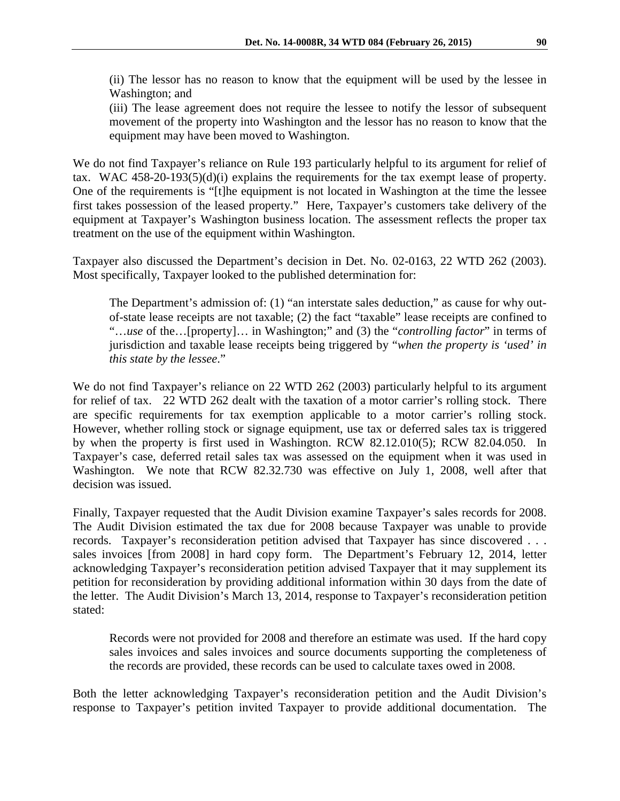(ii) The lessor has no reason to know that the equipment will be used by the lessee in Washington; and

(iii) The lease agreement does not require the lessee to notify the lessor of subsequent movement of the property into Washington and the lessor has no reason to know that the equipment may have been moved to Washington.

We do not find Taxpayer's reliance on Rule 193 particularly helpful to its argument for relief of tax. WAC 458-20-193(5)(d)(i) explains the requirements for the tax exempt lease of property. One of the requirements is "[t]he equipment is not located in Washington at the time the lessee first takes possession of the leased property." Here, Taxpayer's customers take delivery of the equipment at Taxpayer's Washington business location. The assessment reflects the proper tax treatment on the use of the equipment within Washington.

Taxpayer also discussed the Department's decision in Det. No. 02-0163, 22 WTD 262 (2003). Most specifically, Taxpayer looked to the published determination for:

The Department's admission of: (1) "an interstate sales deduction," as cause for why outof-state lease receipts are not taxable; (2) the fact "taxable" lease receipts are confined to "…*use* of the…[property]… in Washington;" and (3) the "*controlling factor*" in terms of jurisdiction and taxable lease receipts being triggered by "*when the property is 'used' in this state by the lessee*."

We do not find Taxpayer's reliance on 22 WTD 262 (2003) particularly helpful to its argument for relief of tax. 22 WTD 262 dealt with the taxation of a motor carrier's rolling stock. There are specific requirements for tax exemption applicable to a motor carrier's rolling stock. However, whether rolling stock or signage equipment, use tax or deferred sales tax is triggered by when the property is first used in Washington. RCW 82.12.010(5); RCW 82.04.050. In Taxpayer's case, deferred retail sales tax was assessed on the equipment when it was used in Washington. We note that RCW 82.32.730 was effective on July 1, 2008, well after that decision was issued.

Finally, Taxpayer requested that the Audit Division examine Taxpayer's sales records for 2008. The Audit Division estimated the tax due for 2008 because Taxpayer was unable to provide records. Taxpayer's reconsideration petition advised that Taxpayer has since discovered . . . sales invoices [from 2008] in hard copy form. The Department's February 12, 2014, letter acknowledging Taxpayer's reconsideration petition advised Taxpayer that it may supplement its petition for reconsideration by providing additional information within 30 days from the date of the letter. The Audit Division's March 13, 2014, response to Taxpayer's reconsideration petition stated:

Records were not provided for 2008 and therefore an estimate was used. If the hard copy sales invoices and sales invoices and source documents supporting the completeness of the records are provided, these records can be used to calculate taxes owed in 2008.

Both the letter acknowledging Taxpayer's reconsideration petition and the Audit Division's response to Taxpayer's petition invited Taxpayer to provide additional documentation. The